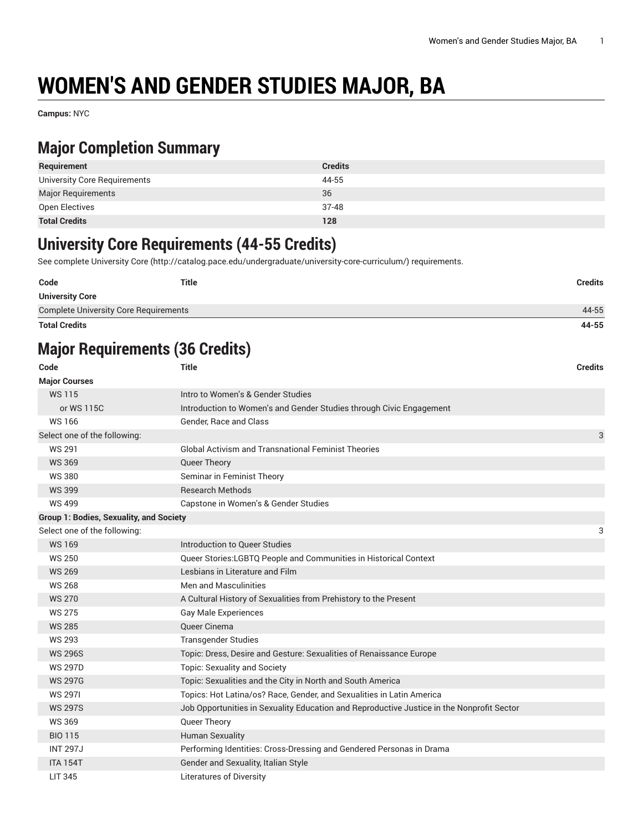# **WOMEN'S AND GENDER STUDIES MAJOR, BA**

**Campus:** NYC

### **Major Completion Summary**

| Requirement                  | <b>Credits</b> |
|------------------------------|----------------|
| University Core Requirements | 44-55          |
| <b>Major Requirements</b>    | 36             |
| Open Electives               | 37-48          |
| <b>Total Credits</b>         | 128            |

### **University Core Requirements (44-55 Credits)**

See complete [University](http://catalog.pace.edu/undergraduate/university-core-curriculum/) Core (<http://catalog.pace.edu/undergraduate/university-core-curriculum/>) requirements.

| Code                                         | Title | <b>Credits</b> |
|----------------------------------------------|-------|----------------|
| <b>University Core</b>                       |       |                |
| <b>Complete University Core Requirements</b> |       | 44-55          |
| <b>Total Credits</b>                         |       | 44-55          |

# **Major Requirements (36 Credits)**

| Code                                           | <b>Title</b>                                                                              | <b>Credits</b> |
|------------------------------------------------|-------------------------------------------------------------------------------------------|----------------|
| <b>Major Courses</b>                           |                                                                                           |                |
| <b>WS115</b>                                   | Intro to Women's & Gender Studies                                                         |                |
| or WS 115C                                     | Introduction to Women's and Gender Studies through Civic Engagement                       |                |
| <b>WS166</b>                                   | Gender, Race and Class                                                                    |                |
| Select one of the following:                   |                                                                                           | 3              |
| <b>WS 291</b>                                  | <b>Global Activism and Transnational Feminist Theories</b>                                |                |
| <b>WS 369</b>                                  | Queer Theory                                                                              |                |
| <b>WS380</b>                                   | Seminar in Feminist Theory                                                                |                |
| <b>WS 399</b>                                  | <b>Research Methods</b>                                                                   |                |
| <b>WS 499</b>                                  | Capstone in Women's & Gender Studies                                                      |                |
| <b>Group 1: Bodies, Sexuality, and Society</b> |                                                                                           |                |
| Select one of the following:                   |                                                                                           | 3              |
| <b>WS169</b>                                   | Introduction to Queer Studies                                                             |                |
| <b>WS 250</b>                                  | Queer Stories:LGBTQ People and Communities in Historical Context                          |                |
| <b>WS 269</b>                                  | Lesbians in Literature and Film                                                           |                |
| <b>WS 268</b>                                  | <b>Men and Masculinities</b>                                                              |                |
| <b>WS 270</b>                                  | A Cultural History of Sexualities from Prehistory to the Present                          |                |
| <b>WS 275</b>                                  | <b>Gay Male Experiences</b>                                                               |                |
| <b>WS 285</b>                                  | Queer Cinema                                                                              |                |
| <b>WS 293</b>                                  | <b>Transgender Studies</b>                                                                |                |
| <b>WS 296S</b>                                 | Topic: Dress, Desire and Gesture: Sexualities of Renaissance Europe                       |                |
| <b>WS 297D</b>                                 | Topic: Sexuality and Society                                                              |                |
| <b>WS 297G</b>                                 | Topic: Sexualities and the City in North and South America                                |                |
| <b>WS 2971</b>                                 | Topics: Hot Latina/os? Race, Gender, and Sexualities in Latin America                     |                |
| <b>WS 297S</b>                                 | Job Opportunities in Sexuality Education and Reproductive Justice in the Nonprofit Sector |                |
| <b>WS369</b>                                   | Queer Theory                                                                              |                |
| <b>BIO 115</b>                                 | <b>Human Sexuality</b>                                                                    |                |
| <b>INT 297J</b>                                | Performing Identities: Cross-Dressing and Gendered Personas in Drama                      |                |
| <b>ITA 154T</b>                                | Gender and Sexuality, Italian Style                                                       |                |
| <b>LIT 345</b>                                 | <b>Literatures of Diversity</b>                                                           |                |
|                                                |                                                                                           |                |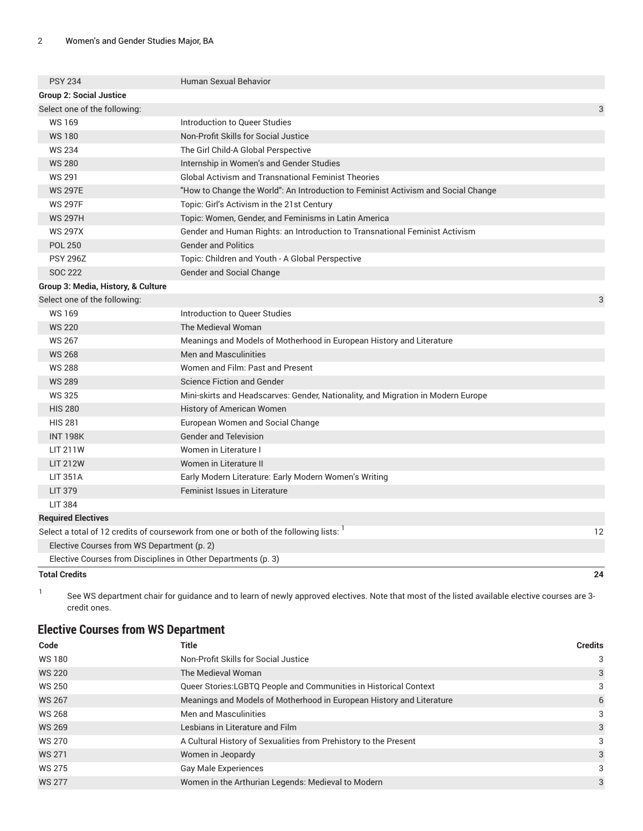| <b>Total Credits</b>                                          |                                                                                                        | 24 |
|---------------------------------------------------------------|--------------------------------------------------------------------------------------------------------|----|
| Elective Courses from Disciplines in Other Departments (p. 3) |                                                                                                        |    |
| Elective Courses from WS Department (p. 2)                    |                                                                                                        |    |
|                                                               | Select a total of 12 credits of coursework from one or both of the following lists:                    | 12 |
| <b>Required Electives</b>                                     |                                                                                                        |    |
| <b>LIT 384</b>                                                |                                                                                                        |    |
| <b>LIT 379</b>                                                | <b>Feminist Issues in Literature</b>                                                                   |    |
| <b>LIT 351A</b>                                               | Early Modern Literature: Early Modern Women's Writing                                                  |    |
| <b>LIT 212W</b>                                               | Women in Literature II                                                                                 |    |
| <b>LIT 211W</b>                                               | Women in Literature I                                                                                  |    |
| <b>INT 198K</b>                                               | <b>Gender and Television</b>                                                                           |    |
| <b>HIS 281</b>                                                | European Women and Social Change                                                                       |    |
| <b>HIS 280</b>                                                | History of American Women                                                                              |    |
| <b>WS325</b>                                                  | Mini-skirts and Headscarves: Gender, Nationality, and Migration in Modern Europe                       |    |
| <b>WS 289</b>                                                 | <b>Science Fiction and Gender</b>                                                                      |    |
| <b>WS 288</b>                                                 | Women and Film: Past and Present                                                                       |    |
| <b>WS 268</b>                                                 | <b>Men and Masculinities</b>                                                                           |    |
| <b>WS 267</b>                                                 | Meanings and Models of Motherhood in European History and Literature                                   |    |
| <b>WS 220</b>                                                 | The Medieval Woman                                                                                     |    |
| <b>WS169</b>                                                  | Introduction to Queer Studies                                                                          |    |
| Select one of the following:                                  |                                                                                                        | 3  |
| Group 3: Media, History, & Culture                            |                                                                                                        |    |
| SOC 222                                                       | Gender and Social Change                                                                               |    |
| <b>PSY 296Z</b>                                               | Topic: Children and Youth - A Global Perspective                                                       |    |
| <b>POL 250</b>                                                | <b>Gender and Politics</b>                                                                             |    |
| <b>WS 297X</b>                                                | Gender and Human Rights: an Introduction to Transnational Feminist Activism                            |    |
| <b>WS 297H</b>                                                | Topic: Women, Gender, and Feminisms in Latin America                                                   |    |
| <b>WS 297F</b>                                                | Topic: Girl's Activism in the 21st Century                                                             |    |
| <b>WS 297E</b>                                                | "How to Change the World": An Introduction to Feminist Activism and Social Change                      |    |
| <b>WS 291</b>                                                 | Internship in Women's and Gender Studies<br><b>Global Activism and Transnational Feminist Theories</b> |    |
| <b>WS 234</b><br><b>WS 280</b>                                | The Girl Child-A Global Perspective                                                                    |    |
| <b>WS180</b>                                                  | Non-Profit Skills for Social Justice                                                                   |    |
| <b>WS169</b>                                                  | Introduction to Queer Studies                                                                          |    |
| Select one of the following:                                  |                                                                                                        | 3  |
| <b>Group 2: Social Justice</b>                                |                                                                                                        |    |
| <b>PSY 234</b>                                                | <b>Human Sexual Behavior</b>                                                                           |    |
|                                                               |                                                                                                        |    |

1

See WS department chair for guidance and to learn of newly approved electives. Note that most of the listed available elective courses are 3 credit ones.

#### <span id="page-1-0"></span>**Elective Courses from WS Department**

| Code          | Title                                                                | <b>Credits</b> |
|---------------|----------------------------------------------------------------------|----------------|
| <b>WS180</b>  | Non-Profit Skills for Social Justice                                 | 3              |
| <b>WS 220</b> | The Medieval Woman                                                   | 3              |
| WS 250        | Queer Stories: LGBTQ People and Communities in Historical Context    | 3              |
| <b>WS 267</b> | Meanings and Models of Motherhood in European History and Literature | 6              |
| <b>WS 268</b> | Men and Masculinities                                                | 3              |
| <b>WS 269</b> | Lesbians in Literature and Film                                      | 3              |
| <b>WS 270</b> | A Cultural History of Sexualities from Prehistory to the Present     | 3              |
| <b>WS 271</b> | Women in Jeopardy                                                    | 3              |
| <b>WS 275</b> | <b>Gay Male Experiences</b>                                          | 3              |
| <b>WS 277</b> | Women in the Arthurian Legends: Medieval to Modern                   | 3              |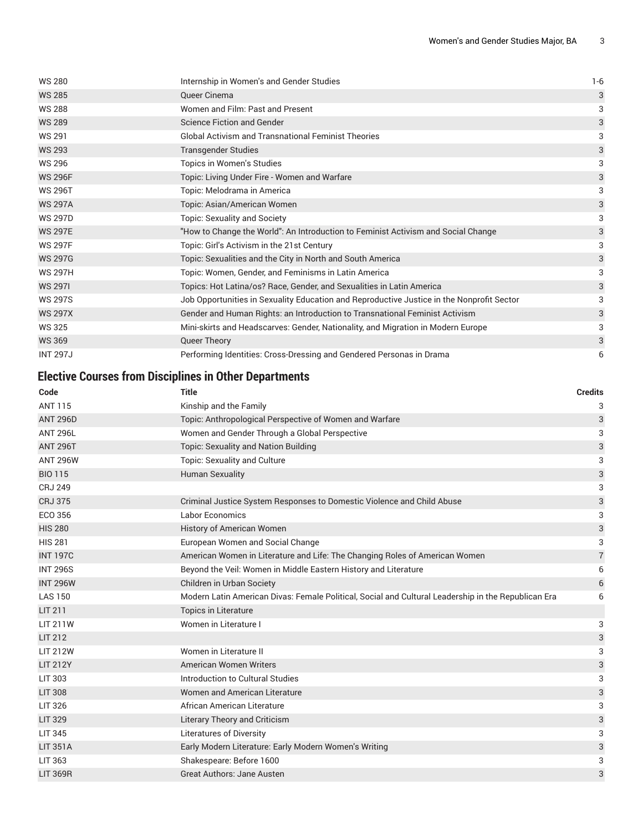| <b>WS 280</b>   | Internship in Women's and Gender Studies                                                  | $1 - 6$ |
|-----------------|-------------------------------------------------------------------------------------------|---------|
| <b>WS 285</b>   | Queer Cinema                                                                              | 3       |
| <b>WS 288</b>   | Women and Film: Past and Present                                                          | 3       |
| <b>WS 289</b>   | <b>Science Fiction and Gender</b>                                                         | 3       |
| <b>WS 291</b>   | <b>Global Activism and Transnational Feminist Theories</b>                                | 3       |
| <b>WS 293</b>   | <b>Transgender Studies</b>                                                                | 3       |
| <b>WS 296</b>   | Topics in Women's Studies                                                                 | 3       |
| <b>WS 296F</b>  | Topic: Living Under Fire - Women and Warfare                                              | 3       |
| <b>WS 296T</b>  | Topic: Melodrama in America                                                               | 3       |
| <b>WS 297A</b>  | Topic: Asian/American Women                                                               | 3       |
| <b>WS 297D</b>  | <b>Topic: Sexuality and Society</b>                                                       | 3       |
| <b>WS 297E</b>  | "How to Change the World": An Introduction to Feminist Activism and Social Change         | 3       |
| <b>WS 297F</b>  | Topic: Girl's Activism in the 21st Century                                                | 3       |
| <b>WS 297G</b>  | Topic: Sexualities and the City in North and South America                                | 3       |
| <b>WS 297H</b>  | Topic: Women, Gender, and Feminisms in Latin America                                      | 3       |
| <b>WS 2971</b>  | Topics: Hot Latina/os? Race, Gender, and Sexualities in Latin America                     | 3       |
| <b>WS 297S</b>  | Job Opportunities in Sexuality Education and Reproductive Justice in the Nonprofit Sector | 3       |
| <b>WS 297X</b>  | Gender and Human Rights: an Introduction to Transnational Feminist Activism               | 3       |
| <b>WS 325</b>   | Mini-skirts and Headscarves: Gender, Nationality, and Migration in Modern Europe          | 3       |
| <b>WS 369</b>   | Queer Theory                                                                              | 3       |
| <b>INT 297J</b> | Performing Identities: Cross-Dressing and Gendered Personas in Drama                      | 6       |

#### <span id="page-2-0"></span>**Elective Courses from Disciplines in Other Departments**

| Code            | Title                                                                                               | <b>Credits</b> |
|-----------------|-----------------------------------------------------------------------------------------------------|----------------|
| <b>ANT 115</b>  | Kinship and the Family                                                                              | 3              |
| <b>ANT 296D</b> | Topic: Anthropological Perspective of Women and Warfare                                             | 3              |
| <b>ANT 296L</b> | Women and Gender Through a Global Perspective                                                       | 3              |
| <b>ANT 296T</b> | Topic: Sexuality and Nation Building                                                                | 3              |
| <b>ANT 296W</b> | <b>Topic: Sexuality and Culture</b>                                                                 | 3              |
| <b>BIO 115</b>  | <b>Human Sexuality</b>                                                                              | 3              |
| <b>CRJ 249</b>  |                                                                                                     | 3              |
| <b>CRJ 375</b>  | Criminal Justice System Responses to Domestic Violence and Child Abuse                              | 3              |
| ECO 356         | Labor Economics                                                                                     | 3              |
| <b>HIS 280</b>  | History of American Women                                                                           | 3              |
| <b>HIS 281</b>  | European Women and Social Change                                                                    | 3              |
| <b>INT 197C</b> | American Women in Literature and Life: The Changing Roles of American Women                         | 7              |
| <b>INT 296S</b> | Beyond the Veil: Women in Middle Eastern History and Literature                                     | 6              |
| <b>INT 296W</b> | Children in Urban Society                                                                           | 6              |
| <b>LAS 150</b>  | Modern Latin American Divas: Female Political, Social and Cultural Leadership in the Republican Era | 6              |
| <b>LIT 211</b>  | <b>Topics in Literature</b>                                                                         |                |
| <b>LIT 211W</b> | Women in Literature I                                                                               | 3              |
| <b>LIT 212</b>  |                                                                                                     | 3              |
| <b>LIT 212W</b> | Women in Literature II                                                                              | 3              |
| <b>LIT 212Y</b> | American Women Writers                                                                              | 3              |
| <b>LIT 303</b>  | Introduction to Cultural Studies                                                                    | 3              |
| <b>LIT 308</b>  | Women and American Literature                                                                       | 3              |
| <b>LIT 326</b>  | African American Literature                                                                         | 3              |
| <b>LIT 329</b>  | <b>Literary Theory and Criticism</b>                                                                | 3              |
| <b>LIT 345</b>  | Literatures of Diversity                                                                            | 3              |
| <b>LIT 351A</b> | Early Modern Literature: Early Modern Women's Writing                                               | 3              |
| LIT 363         | Shakespeare: Before 1600                                                                            | 3              |
| <b>LIT 369R</b> | <b>Great Authors: Jane Austen</b>                                                                   | 3              |
|                 |                                                                                                     |                |